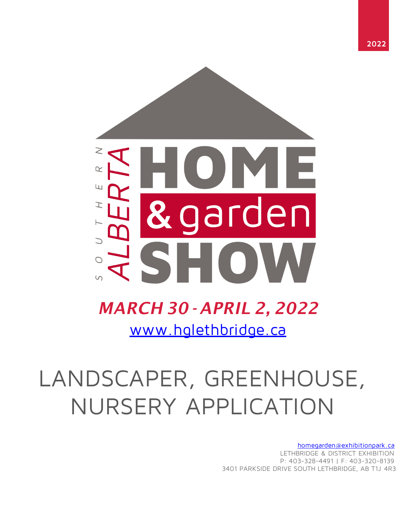

## [www.hglethbridge.ca](http://www.hglethbridge.ca/) *MARCH 30 - APRIL 2, 2022*

# LANDSCAPER, GREENHOUSE, NURSERY APPLICATION

[homegarden@exhibitionpark.ca](mailto:homegarden@exhibitionpark.ca) LETHBRIDGE & DISTRICT EXHIBITION P: 403-328-4491 | F: 403-320-8139 3401 PARKSIDE DRIVE SOUTH LETHBRIDGE, AB T1J 4R3

**2022**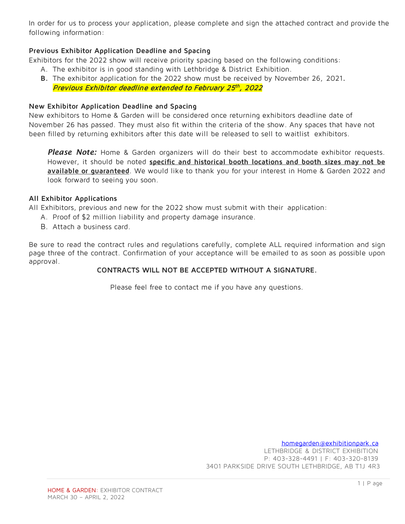In order for us to process your application, please complete and sign the attached contract and provide the following information:

## **Previous Exhibitor Application Deadline and Spacing**

Exhibitors for the 2022 show will receive priority spacing based on the following conditions:

- A. The exhibitor is in good standing with Lethbridge & District Exhibition.
- **B.** The exhibitor application for the 2022 show must be received by November 26, 2021**.** Previous Exhibitor deadline extended to February 25th, 2022

## **New Exhibitor Application Deadline and Spacing**

New exhibitors to Home & Garden will be considered once returning exhibitors deadline date of November 26 has passed. They must also fit within the criteria of the show. Any spaces that have not been filled by returning exhibitors after this date will be released to sell to waitlist exhibitors.

Please Note: Home & Garden organizers will do their best to accommodate exhibitor requests. However, it should be noted **specific and historical booth locations and booth sizes may not be** available or quaranteed. We would like to thank you for your interest in Home & Garden 2022 and look forward to seeing you soon.

### **All Exhibitor Applications**

All Exhibitors, previous and new for the 2022 show must submit with their application:

- A. Proof of \$2 million liability and property damage insurance.
- B. Attach a business card.

Be sure to read the contract rules and regulations carefully, complete ALL required information and sign page three of the contract. Confirmation of your acceptance will be emailed to as soon as possible upon approval.

## **CONTRACTS WILL NOT BE ACCEPTED WITHOUT A SIGNATURE.**

Please feel free to contact me if you have any questions.

[homegarden@exhibitionpark.ca](mailto:homegarden@exhibitionpark.ca) LETHBRIDGE & DISTRICT EXHIBITION P: 403-328-4491 | F: 403-320-8139 3401 PARKSIDE DRIVE SOUTH LETHBRIDGE, AB T1J 4R3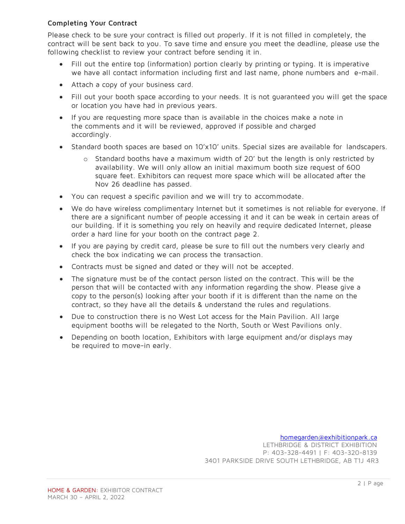## **Completing Your Contract**

Please check to be sure your contract is filled out properly. If it is not filled in completely, the contract will be sent back to you. To save time and ensure you meet the deadline, please use the following checklist to review your contract before sending it in.

- Fill out the entire top (information) portion clearly by printing or typing. It is imperative we have all contact information including first and last name, phone numbers and e-mail.
- Attach a copy of your business card.
- Fill out your booth space according to your needs. It is not guaranteed you will get the space or location you have had in previous years.
- If you are requesting more space than is available in the choices make a note in the comments and it will be reviewed, approved if possible and charged accordingly.
- Standard booth spaces are based on 10'x10' units. Special sizes are available for landscapers.
	- o Standard booths have a maximum width of 20' but the length is only restricted by availability. We will only allow an initial maximum booth size request of 600 square feet. Exhibitors can request more space which will be allocated after the Nov 26 deadline has passed.
- You can request a specific pavilion and we will try to accommodate.
- We do have wireless complimentary Internet but it sometimes is not reliable for everyone. If there are a significant number of people accessing it and it can be weak in certain areas of our building. If it is something you rely on heavily and require dedicated Internet, please order a hard line for your booth on the contract page 2.
- If you are paying by credit card, please be sure to fill out the numbers very clearly and check the box indicating we can process the transaction.
- Contracts must be signed and dated or they will not be accepted.
- The signature must be of the contact person listed on the contract. This will be the person that will be contacted with any information regarding the show. Please give a copy to the person(s) looking after your booth if it is different than the name on the contract, so they have all the details & understand the rules and regulations.
- Due to construction there is no West Lot access for the Main Pavilion. All large equipment booths will be relegated to the North, South or West Pavilions only.
- Depending on booth location, Exhibitors with large equipment and/or displays may be required to move-in early.

[homegarden@exhibitionpark.ca](mailto:homegarden@exhibitionpark.ca)

LETHBRIDGE & DISTRICT EXHIBITION P: 403-328-4491 | F: 403-320-8139 3401 PARKSIDE DRIVE SOUTH LETHBRIDGE, AB T1J 4R3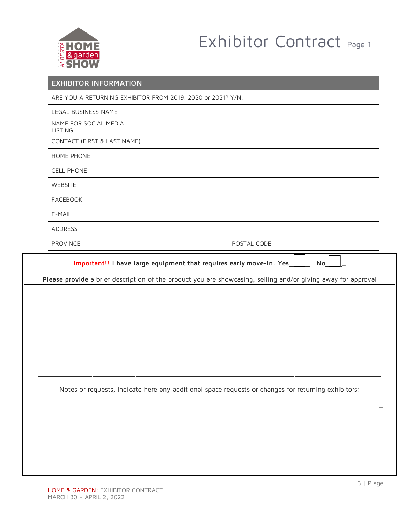

## Exhibitor Contract Page 1

| <b>EXHIBITOR INFORMATION</b>            |                                                                                                               |
|-----------------------------------------|---------------------------------------------------------------------------------------------------------------|
|                                         | ARE YOU A RETURNING EXHIBITOR FROM 2019, 2020 or 2021? Y/N:                                                   |
| LEGAL BUSINESS NAME                     |                                                                                                               |
| NAME FOR SOCIAL MEDIA<br><b>LISTING</b> |                                                                                                               |
| CONTACT (FIRST & LAST NAME)             |                                                                                                               |
| HOME PHONE                              |                                                                                                               |
| <b>CELL PHONE</b>                       |                                                                                                               |
| WEBSITE                                 |                                                                                                               |
| <b>FACEBOOK</b>                         |                                                                                                               |
| E-MAIL                                  |                                                                                                               |
| ADDRESS                                 |                                                                                                               |
| <b>PROVINCE</b>                         | POSTAL CODE                                                                                                   |
|                                         | Important!! I have large equipment that requires early move-in. Yes_<br>No                                    |
|                                         |                                                                                                               |
|                                         |                                                                                                               |
|                                         | Notes or requests, Indicate here any additional space requests or changes for returning exhibitors:           |
|                                         |                                                                                                               |
|                                         | Please provide a brief description of the product you are showcasing, selling and/or giving away for approval |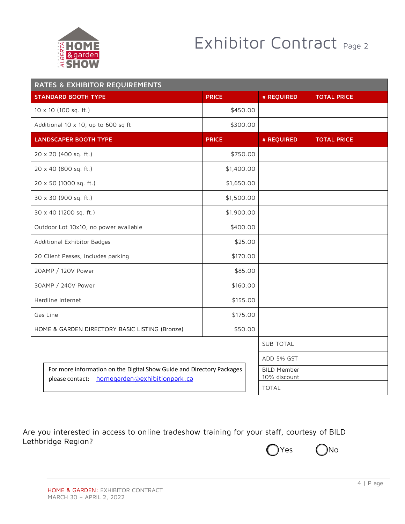

## Exhibitor Contract Page 2

| <b>RATES &amp; EXHIBITOR REQUIREMENTS</b>                                                                             |                                       |              |              |                                    |                    |  |  |
|-----------------------------------------------------------------------------------------------------------------------|---------------------------------------|--------------|--------------|------------------------------------|--------------------|--|--|
|                                                                                                                       | <b>STANDARD BOOTH TYPE</b>            | <b>PRICE</b> |              | # REQUIRED                         | <b>TOTAL PRICE</b> |  |  |
|                                                                                                                       | 10 x 10 (100 sq. ft.)                 | \$450.00     |              |                                    |                    |  |  |
|                                                                                                                       | Additional 10 x 10, up to 600 sq ft   | \$300.00     |              |                                    |                    |  |  |
|                                                                                                                       | <b>LANDSCAPER BOOTH TYPE</b>          | <b>PRICE</b> |              | # REQUIRED                         | <b>TOTAL PRICE</b> |  |  |
|                                                                                                                       | 20 x 20 (400 sq. ft.)                 | \$750.00     |              |                                    |                    |  |  |
|                                                                                                                       | 20 x 40 (800 sq. ft.)                 | \$1,400.00   |              |                                    |                    |  |  |
|                                                                                                                       | 20 x 50 (1000 sq. ft.)                | \$1,650.00   |              |                                    |                    |  |  |
|                                                                                                                       | 30 x 30 (900 sq. ft.)                 | \$1,500.00   |              |                                    |                    |  |  |
|                                                                                                                       | 30 x 40 (1200 sq. ft.)                | \$1,900.00   |              |                                    |                    |  |  |
|                                                                                                                       | Outdoor Lot 10x10, no power available | \$400.00     |              |                                    |                    |  |  |
|                                                                                                                       | Additional Exhibitor Badges           | \$25.00      |              |                                    |                    |  |  |
| 20 Client Passes, includes parking                                                                                    |                                       | \$170.00     |              |                                    |                    |  |  |
|                                                                                                                       | 20AMP / 120V Power                    | \$85.00      |              |                                    |                    |  |  |
| 30AMP / 240V Power                                                                                                    |                                       | \$160.00     |              |                                    |                    |  |  |
| Hardline Internet                                                                                                     |                                       | \$155.00     |              |                                    |                    |  |  |
| Gas Line                                                                                                              |                                       | \$175.00     |              |                                    |                    |  |  |
| HOME & GARDEN DIRECTORY BASIC LISTING (Bronze)                                                                        |                                       | \$50.00      |              |                                    |                    |  |  |
|                                                                                                                       |                                       |              |              | <b>SUB TOTAL</b>                   |                    |  |  |
|                                                                                                                       |                                       |              | ADD 5% GST   |                                    |                    |  |  |
| For more information on the Digital Show Guide and Directory Packages<br>please contact: homegarden@exhibitionpark.ca |                                       |              |              | <b>BILD Member</b><br>10% discount |                    |  |  |
|                                                                                                                       |                                       |              | <b>TOTAL</b> |                                    |                    |  |  |

Are you interested in access to online tradeshow training for your staff, courtesy of BILD Lethbridge Region?

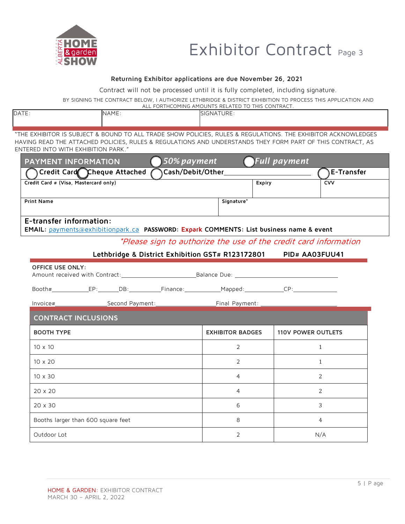

## Exhibitor Contract Page 3

#### **Returning Exhibitor applications are due November 26, 2021**

Contract will not be processed until it is fully completed, including signature.

BY SIGNING THE CONTRACT BELOW, I AUTHORIZE LETHBRIDGE & DISTRICT EXHIBITION TO PROCESS THIS APPLICATION AND

| . FORTHCOMING AMOUNTS RELATED TO THIS CONTRACT.<br>ALI |             |            |  |  |  |
|--------------------------------------------------------|-------------|------------|--|--|--|
| <b>DATE</b>                                            | <b>NAME</b> | SIGNATURE: |  |  |  |
|                                                        |             |            |  |  |  |

"THE EXHIBITOR IS SUBJECT & BOUND TO ALL TRADE SHOW POLICIES, RULES & REGULATIONS. THE EXHIBITOR ACKNOWLEDGES HAVING READ THE ATTACHED POLICIES, RULES & REGULATIONS AND UNDERSTANDS THEY FORM PART OF THIS CONTRACT, AS ENTERED INTO WITH EXHIBITION PARK."

| <b>Full payment</b><br>50% payment<br><b>PAYMENT INFORMATION</b>                        |                         |                                                                  |  |  |  |  |  |
|-----------------------------------------------------------------------------------------|-------------------------|------------------------------------------------------------------|--|--|--|--|--|
| Credit Card Cheque Attached<br>Cash/Debit/Other<br>E-Transfer                           |                         |                                                                  |  |  |  |  |  |
| Credit Card # (Visa, Mastercard only)                                                   | Expiry                  | CVV                                                              |  |  |  |  |  |
| <b>Print Name</b>                                                                       | Signature*              |                                                                  |  |  |  |  |  |
| E-transfer information:                                                                 |                         |                                                                  |  |  |  |  |  |
| EMAIL: payments@exhibitionpark.ca PASSWORD: Expark COMMENTS: List business name & event |                         |                                                                  |  |  |  |  |  |
|                                                                                         |                         | *Please sign to authorize the use of the credit card information |  |  |  |  |  |
| Lethbridge & District Exhibition GST# R123172801 PID# AA03FUU41                         |                         |                                                                  |  |  |  |  |  |
| <b>OFFICE USE ONLY:</b>                                                                 |                         |                                                                  |  |  |  |  |  |
|                                                                                         |                         |                                                                  |  |  |  |  |  |
| Invoice#_______________________Second Payment:___________________________________       |                         |                                                                  |  |  |  |  |  |
| <b>CONTRACT INCLUSIONS</b>                                                              |                         |                                                                  |  |  |  |  |  |
| <b>BOOTH TYPE</b>                                                                       | <b>EXHIBITOR BADGES</b> | <b>110V POWER OUTLETS</b>                                        |  |  |  |  |  |
| $10 \times 10$                                                                          | 2                       | $\mathbf{1}$                                                     |  |  |  |  |  |
| $10 \times 20$                                                                          | 2                       | $\mathbf{1}$                                                     |  |  |  |  |  |
| 10 x 30                                                                                 | 4                       | 2                                                                |  |  |  |  |  |
| 20 x 20                                                                                 | 4                       | 2                                                                |  |  |  |  |  |
| 20 x 30                                                                                 | 6                       | 3                                                                |  |  |  |  |  |
| Booths larger than 600 square feet                                                      | 8                       | 4                                                                |  |  |  |  |  |
| Outdoor Lot                                                                             | 2                       | N/A                                                              |  |  |  |  |  |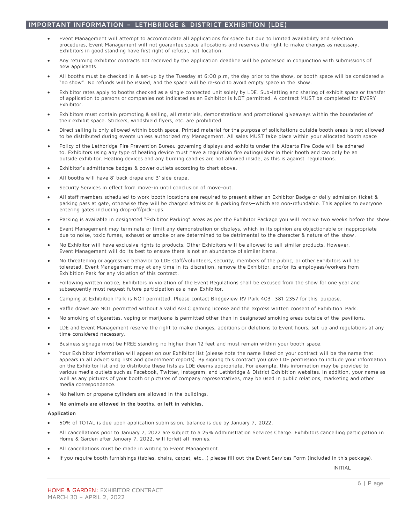#### **IMPORTANT INFORMATION – LETHBRIDGE & DISTRICT EXHIBITION (LDE)**

- Event Management will attempt to accommodate all applications for space but due to limited availability and selection procedures, Event Management will not quarantee space allocations and reserves the right to make changes as necessary. Exhibitors in good standing have first right of refusal, not location.
- Any returning exhibitor contracts not received by the application deadline will be processed in conjunction with submissions of new applicants.
- All booths must be checked in & set-up by the Tuesday at 6:00 p.m, the day prior to the show, or booth space will be considered a "no show". No refunds will be issued, and the space will be re-sold to avoid empty space in the show.
- Exhibitor rates apply to booths checked as a single connected unit solely by LDE. Sub-letting and sharing of exhibit space or transfer of application to persons or companies not indicated as an Exhibitor is NOT permitted. A contract MUST be completed for EVERY Exhibitor.
- Exhibitors must contain promoting & selling, all materials, demonstrations and promotional giveaways within the boundaries of their exhibit space. Stickers, windshield flyers, etc. are prohibited.
- Direct selling is only allowed within booth space. Printed material for the purpose of solicitations outside booth areas is not allowed to be distributed during events unless authorized my Management. All sales MUST take place within your allocated booth space
- Policy of the Lethbridge Fire Prevention Bureau governing displays and exhibits under the Alberta Fire Code will be adhered to. Exhibitors using any type of heating device must have a regulation fire extinguisher in their booth and can only be an outside exhibitor. Heating devices and any burning candles are not allowed inside, as this is against regulations.
- Exhibitor's admittance badges & power outlets according to chart above.
- All booths will have 8' back drape and 3' side drape.
- Security Services in effect from move-in until conclusion of move-out.
- All staff members scheduled to work booth locations are required to present either an Exhibitor Badge or daily admission ticket & parking pass at gate, otherwise they will be charged admission & parking fees—which are non-refundable. This applies to everyone entering gates including drop-off/pick-ups.
- Parking is available in designated "Exhibitor Parking" areas as per the Exhibitor Package you will receive two weeks before the show.
- Event Management may terminate or limit any demonstration or displays, which in its opinion are objectionable or inappropriate due to noise, toxic fumes, exhaust or smoke or are determined to be detrimental to the character & nature of the show.
- No Exhibitor will have exclusive rights to products. Other Exhibitors will be allowed to sell similar products. However, Event Management will do its best to ensure there is not an abundance of similar items.
- No threatening or aggressive behavior to LDE staff/volunteers, security, members of the public, or other Exhibitors will be tolerated. Event Management may at any time in its discretion, remove the Exhibitor, and/or its employees/workers from Exhibition Park for any violation of this contract.
- Following written notice, Exhibitors in violation of the Event Regulations shall be excused from the show for one year and subsequently must request future participation as a new Exhibitor.
- Camping at Exhibition Park is NOT permitted. Please contact Bridgeview RV Park 403- 381-2357 for this purpose.
- Raffle draws are NOT permitted without a valid AGLC gaming license and the express written consent of Exhibition Park.
- No smoking of cigarettes, vaping or marijuana is permitted other than in designated smoking areas outside of the pavilions.
- LDE and Event Management reserve the right to make changes, additions or deletions to Event hours, set-up and regulations at any time considered necessary.
- Business signage must be FREE standing no higher than 12 feet and must remain within your booth space.
- Your Exhibitor information will appear on our Exhibitor list (please note the name listed on your contract will be the name that appears in all advertising lists and government reports). By signing this contract you give LDE permission to include your information on the Exhibitor list and to distribute these lists as LDE deems appropriate. For example, this information may be provided to various media outlets such as Facebook, Twitter, Instagram, and Lethbridge & District Exhibition websites. In addition, your name as well as any pictures of your booth or pictures of company representatives, may be used in public relations, marketing and other media correspondence.
- No helium or propane cylinders are allowed in the buildings.

#### • **No animals are allowed in the booths, or left in vehicles.**

#### **Application**

- 50% of TOTAL is due upon application submission, balance is due by January 7, 2022.
- All cancellations prior to January 7, 2022 are subject to a 25% Administration Services Charge. Exhibitors cancelling participation in Home & Garden after January 7, 2022, will forfeit all monies.
- All cancellations must be made in writing to Event Management.
- If you require booth furnishings (tables, chairs, carpet, etc...) please fill out the Event Services Form (included in this package).

INITIAL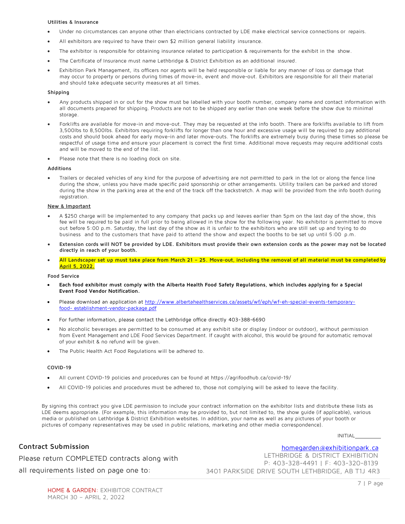#### **Utilities & Insurance**

- Under no circumstances can anyone other than electricians contracted by LDE make electrical service connections or repairs.
- All exhibitors are required to have their own \$2 million general liability insurance.
- The exhibitor is responsible for obtaining insurance related to participation & requirements for the exhibit in the show.
- The Certificate of Insurance must name Lethbridge & District Exhibition as an additional insured.
- Exhibition Park Management, its officers nor agents will be held responsible or liable for any manner of loss or damage that may occur to property or persons during times of move-in, event and move-out. Exhibitors are responsible for all their material and should take adequate security measures at all times.

#### **Shipping**

- Any products shipped in or out for the show must be labelled with your booth number, company name and contact information with all documents prepared for shipping. Products are not to be shipped any earlier than one week before the show due to minimal storage.
- Forklifts are available for move-in and move-out. They may be requested at the info booth. There are forklifts available to lift from 3,500lbs to 8,500lbs. Exhibitors requiring forklifts for longer than one hour and excessive usage will be required to pay additional costs and should book ahead for early move-in and later move-outs. The forklifts are extremely busy during these times so please be respectful of usage time and ensure your placement is correct the first time. Additional move requests may require additional costs and will be moved to the end of the list.
- Please note that there is no loading dock on site.

#### **Additions**

• Trailers or decaled vehicles of any kind for the purpose of advertising are not permitted to park in the lot or along the fence line during the show, unless you have made specific paid sponsorship or other arrangements. Utility trailers can be parked and stored during the show in the parking area at the end of the track off the backstretch. A map will be provided from the info booth during registration.

#### **New & Important**

- A \$250 charge will be implemented to any company that packs up and leaves earlier than 5pm on the last day of the show, this fee will be required to be paid in full prior to being allowed in the show for the following year. No exhibitor is permitted to move out before 5:00 p.m. Saturday, the last day of the show as it is unfair to the exhibitors who are still set up and trying to do business and to the customers that have paid to attend the show and expect the booths to be set up until 5:00 p.m.
- Extension cords will NOT be provided by LDE. Exhibitors must provide their own extension cords as the power may not be located **directly in reach of your booth.**
- **All Landscaper set up must take place from March 21 – 25. Move-out, including the removal of all material must be completed by April 5, 2022.**

#### **Food Service**

- **Each food exhibitor must comply with the Alberta Health Food Safety Regulations, which includes applying for a Special Event Food Vendor Notification.**
- Please download an application at http://www.albertahealthservices.ca/assets/wf/eph/wf-eh-special-events-temporaryfood- establishment-vendor-package.pdf
- For further information, please contact the Lethbridge office directly 403-388-6690
- No alcoholic beverages are permitted to be consumed at any exhibit site or display (indoor or outdoor), without permission from Event Management and LDE Food Services Department. If caught with alcohol, this would be ground for automatic removal of your exhibit & no refund will be given.
- The Public Health Act Food Regulations will be adhered to.

#### **COVID-19**

- All current COVID-19 policies and procedures can be found at https://agrifoodhub.ca/covid-19/
- All COVID-19 policies and procedures must be adhered to, those not complying will be asked to leave the facility.

By signing this contract you give LDE permission to include your contract information on the exhibitor lists and distribute these lists as LDE deems appropriate. (For example, this information may be provided to, but not limited to, the show guide (if applicable), various media or published on Lethbridge & District Exhibition websites. In addition, your name as well as any pictures of your booth or pictures of company representatives may be used in public relations, marketing and other media correspondence).

INITIAL

### **Contract Submission**

homegarden@exhibitionpark.ca

Please return COMPLETED contracts along with all requirements listed on page one to:

LETHBRIDGE & DISTRICT EXHIBITION P: 403-328-4491 | F: 403-320-8139 3401 PARKSIDE DRIVE SOUTH LETHBRIDGE, AB T1J 4R3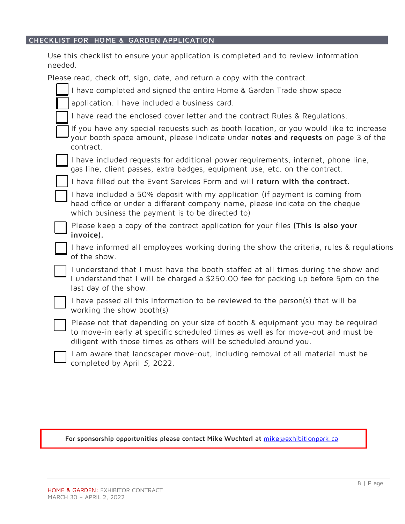## **CHECKLIST FOR HOME & GARDEN APPLICATION**

| Use this checklist to ensure your application is completed and to review information<br>needed.                                                                                                                                          |
|------------------------------------------------------------------------------------------------------------------------------------------------------------------------------------------------------------------------------------------|
| Please read, check off, sign, date, and return a copy with the contract.                                                                                                                                                                 |
| I have completed and signed the entire Home & Garden Trade show space                                                                                                                                                                    |
| application. I have included a business card.                                                                                                                                                                                            |
| I have read the enclosed cover letter and the contract Rules & Requiations.                                                                                                                                                              |
| If you have any special requests such as booth location, or you would like to increase<br>your booth space amount, please indicate under notes and requests on page 3 of the<br>contract.                                                |
| I have included requests for additional power requirements, internet, phone line,<br>gas line, client passes, extra badges, equipment use, etc. on the contract.                                                                         |
| I have filled out the Event Services Form and will return with the contract.                                                                                                                                                             |
| I have included a 50% deposit with my application (if payment is coming from<br>head office or under a different company name, please indicate on the cheque<br>which business the payment is to be directed to)                         |
| Please keep a copy of the contract application for your files (This is also your<br>invoice).                                                                                                                                            |
| I have informed all employees working during the show the criteria, rules & regulations<br>of the show.                                                                                                                                  |
| I understand that I must have the booth staffed at all times during the show and<br>I understand that I will be charged a \$250.00 fee for packing up before 5pm on the<br>last day of the show.                                         |
| I have passed all this information to be reviewed to the person(s) that will be<br>working the show booth(s)                                                                                                                             |
| Please not that depending on your size of booth & equipment you may be required<br>to move-in early at specific scheduled times as well as for move-out and must be<br>diligent with those times as others will be scheduled around you. |
| I am aware that landscaper move-out, including removal of all material must be<br>completed by April 5, 2022.                                                                                                                            |

### **For sponsorship opportunities please contact Mike Wuchterl at** mike@exhibitionpark.ca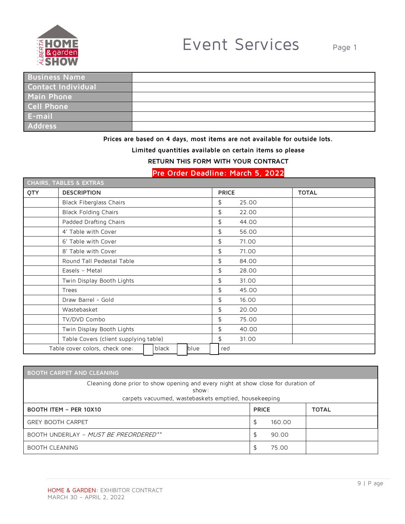

| <b>Business Name</b> |  |
|----------------------|--|
| Contact Individual   |  |
| Main Phone           |  |
| <b>Cell Phone</b>    |  |
| E-mail               |  |
| <b>Address</b>       |  |

## **Prices are based on 4 days, most items are not available for outside lots.**

**Limited quantities available on certain items so please** 

### **RETURN THIS FORM WITH YOUR CONTRACT**

## **Pre Order Deadline: March 5, 2022**

|     | <b>CHAIRS, TABLES &amp; EXTRAS</b>              |              |              |
|-----|-------------------------------------------------|--------------|--------------|
| QTY | <b>DESCRIPTION</b>                              | <b>PRICE</b> | <b>TOTAL</b> |
|     | <b>Black Fiberglass Chairs</b>                  | \$<br>25.00  |              |
|     | <b>Black Folding Chairs</b>                     | \$<br>22.00  |              |
|     | Padded Drafting Chairs                          | \$<br>44.00  |              |
|     | 4' Table with Cover                             | \$<br>56.00  |              |
|     | 6' Table with Cover                             | \$<br>71.00  |              |
|     | 8' Table with Cover                             | \$<br>71.00  |              |
|     | Round Tall Pedestal Table                       | \$<br>84.00  |              |
|     | Easels - Metal                                  | \$<br>28.00  |              |
|     | Twin Display Booth Lights                       | \$<br>31.00  |              |
|     | Trees                                           | \$<br>45.00  |              |
|     | Draw Barrel - Gold                              | \$<br>16.00  |              |
|     | Wastebasket                                     | \$<br>20.00  |              |
|     | TV/DVD Combo                                    | \$<br>75.00  |              |
|     | Twin Display Booth Lights                       | \$<br>40.00  |              |
|     | Table Covers (client supplying table)           | \$<br>31.00  |              |
|     | Table cover colors, check one:<br>black<br>blue | red          |              |

| <b>BOOTH CARPET AND CLEANING</b>                                                                                                                   |        |  |  |  |  |  |
|----------------------------------------------------------------------------------------------------------------------------------------------------|--------|--|--|--|--|--|
| Cleaning done prior to show opening and every night at show close for duration of<br>show:<br>carpets vacuumed, wastebaskets emptied, housekeeping |        |  |  |  |  |  |
| <b>BOOTH ITEM - PER 10X10</b><br><b>PRICE</b><br><b>TOTAL</b>                                                                                      |        |  |  |  |  |  |
| <b>GREY BOOTH CARPET</b>                                                                                                                           | 160.00 |  |  |  |  |  |
| BOOTH UNDERLAY - MUST BE PREORDERED**                                                                                                              | 90.00  |  |  |  |  |  |
| <b>BOOTH CLEANING</b>                                                                                                                              | 75.00  |  |  |  |  |  |